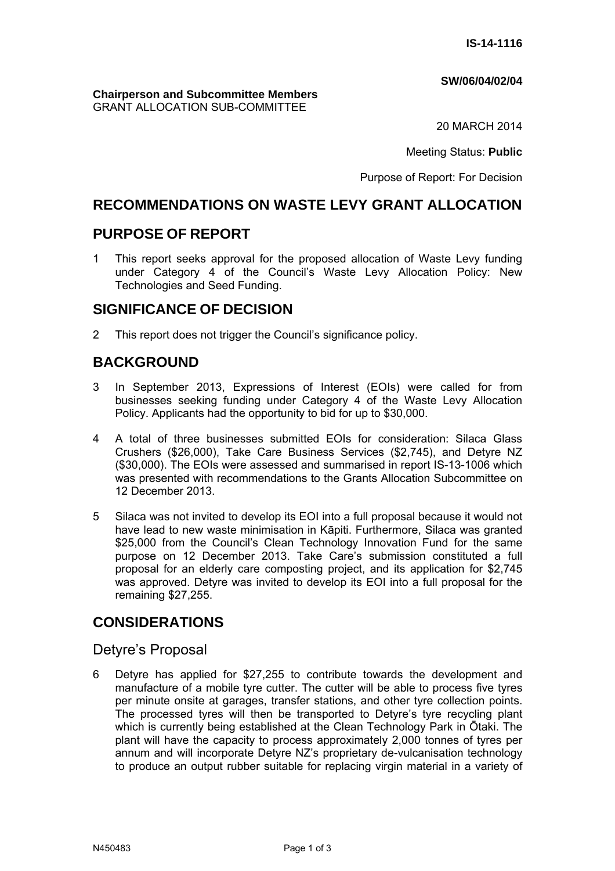#### **SW/06/04/02/04**

#### **Chairperson and Subcommittee Members** GRANT ALLOCATION SUB-COMMITTEE

20 MARCH 2014

Meeting Status: **Public**

Purpose of Report: For Decision

## **RECOMMENDATIONS ON WASTE LEVY GRANT ALLOCATION**

## **PURPOSE OF REPORT**

1 This report seeks approval for the proposed allocation of Waste Levy funding under Category 4 of the Council's Waste Levy Allocation Policy: New Technologies and Seed Funding.

# **SIGNIFICANCE OF DECISION**

2 This report does not trigger the Council's significance policy.

# **BACKGROUND**

- 3 In September 2013, Expressions of Interest (EOIs) were called for from businesses seeking funding under Category 4 of the Waste Levy Allocation Policy. Applicants had the opportunity to bid for up to \$30,000.
- 4 A total of three businesses submitted EOIs for consideration: Silaca Glass Crushers (\$26,000), Take Care Business Services (\$2,745), and Detyre NZ (\$30,000). The EOIs were assessed and summarised in report IS-13-1006 which was presented with recommendations to the Grants Allocation Subcommittee on 12 December 2013.
- 5 Silaca was not invited to develop its EOI into a full proposal because it would not have lead to new waste minimisation in Kāpiti. Furthermore, Silaca was granted \$25,000 from the Council's Clean Technology Innovation Fund for the same purpose on 12 December 2013. Take Care's submission constituted a full proposal for an elderly care composting project, and its application for \$2,745 was approved. Detyre was invited to develop its EOI into a full proposal for the remaining \$27,255.

# **CONSIDERATIONS**

## Detyre's Proposal

6 Detyre has applied for \$27,255 to contribute towards the development and manufacture of a mobile tyre cutter. The cutter will be able to process five tyres per minute onsite at garages, transfer stations, and other tyre collection points. The processed tyres will then be transported to Detyre's tyre recycling plant which is currently being established at the Clean Technology Park in Ōtaki. The plant will have the capacity to process approximately 2,000 tonnes of tyres per annum and will incorporate Detyre NZ's proprietary de-vulcanisation technology to produce an output rubber suitable for replacing virgin material in a variety of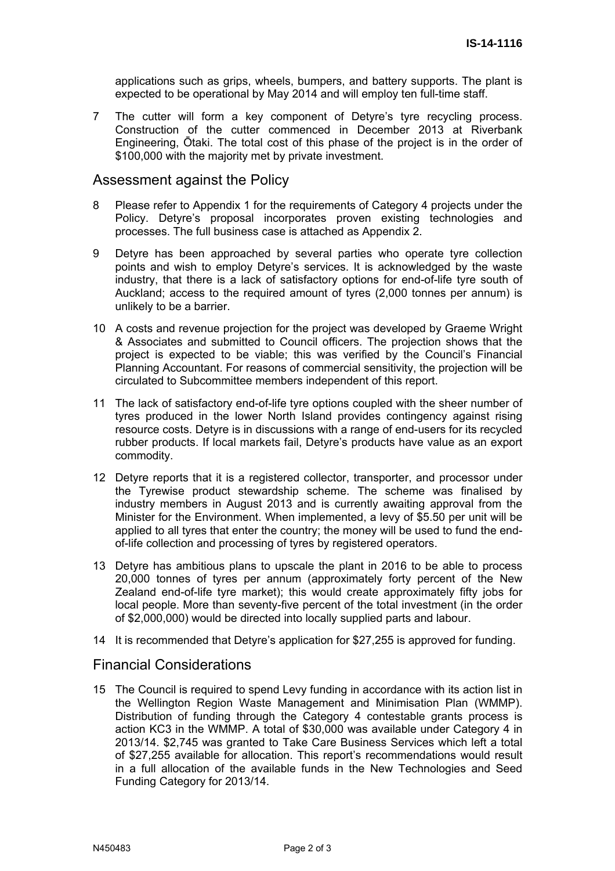applications such as grips, wheels, bumpers, and battery supports. The plant is expected to be operational by May 2014 and will employ ten full-time staff.

7 The cutter will form a key component of Detyre's tyre recycling process. Construction of the cutter commenced in December 2013 at Riverbank Engineering, Ōtaki. The total cost of this phase of the project is in the order of \$100,000 with the majority met by private investment.

#### Assessment against the Policy

- 8 Please refer to Appendix 1 for the requirements of Category 4 projects under the Policy. Detyre's proposal incorporates proven existing technologies and processes. The full business case is attached as Appendix 2.
- 9 Detyre has been approached by several parties who operate tyre collection points and wish to employ Detyre's services. It is acknowledged by the waste industry, that there is a lack of satisfactory options for end-of-life tyre south of Auckland; access to the required amount of tyres (2,000 tonnes per annum) is unlikely to be a barrier.
- 10 A costs and revenue projection for the project was developed by Graeme Wright & Associates and submitted to Council officers. The projection shows that the project is expected to be viable; this was verified by the Council's Financial Planning Accountant. For reasons of commercial sensitivity, the projection will be circulated to Subcommittee members independent of this report.
- 11 The lack of satisfactory end-of-life tyre options coupled with the sheer number of tyres produced in the lower North Island provides contingency against rising resource costs. Detyre is in discussions with a range of end-users for its recycled rubber products. If local markets fail, Detyre's products have value as an export commodity.
- 12 Detyre reports that it is a registered collector, transporter, and processor under the Tyrewise product stewardship scheme. The scheme was finalised by industry members in August 2013 and is currently awaiting approval from the Minister for the Environment. When implemented, a levy of \$5.50 per unit will be applied to all tyres that enter the country; the money will be used to fund the endof-life collection and processing of tyres by registered operators.
- 13 Detyre has ambitious plans to upscale the plant in 2016 to be able to process 20,000 tonnes of tyres per annum (approximately forty percent of the New Zealand end-of-life tyre market); this would create approximately fifty jobs for local people. More than seventy-five percent of the total investment (in the order of \$2,000,000) would be directed into locally supplied parts and labour.
- 14 It is recommended that Detyre's application for \$27,255 is approved for funding.

## Financial Considerations

15 The Council is required to spend Levy funding in accordance with its action list in the Wellington Region Waste Management and Minimisation Plan (WMMP). Distribution of funding through the Category 4 contestable grants process is action KC3 in the WMMP. A total of \$30,000 was available under Category 4 in 2013/14. \$2,745 was granted to Take Care Business Services which left a total of \$27,255 available for allocation. This report's recommendations would result in a full allocation of the available funds in the New Technologies and Seed Funding Category for 2013/14.